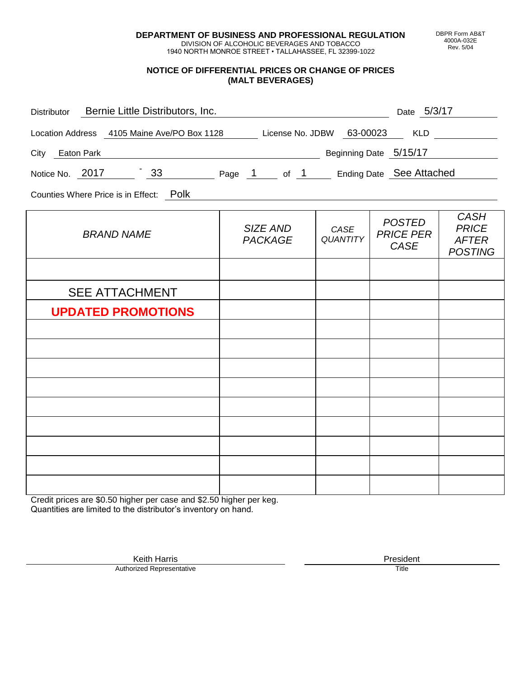**DEPARTMENT OF BUSINESS AND PROFESSIONAL REGULATION** DIVISION OF ALCOHOLIC BEVERAGES AND TOBACCO

1940 NORTH MONROE STREET • TALLAHASSEE, FL 32399-1022

#### **NOTICE OF DIFFERENTIAL PRICES OR CHANGE OF PRICES (MALT BEVERAGES)**

| Distributor Bernie Little Distributors, Inc.                              | <u> 1980 - Johann Barbara, martin amerikan personal (</u> |                         | Date 5/3/17                               |                                                               |
|---------------------------------------------------------------------------|-----------------------------------------------------------|-------------------------|-------------------------------------------|---------------------------------------------------------------|
| Location Address 4105 Maine Ave/PO Box 1128 License No. JDBW 63-00023 KLD |                                                           |                         |                                           |                                                               |
| City Eaton Park                                                           | Beginning Date 5/15/17                                    |                         |                                           |                                                               |
| Notice No. 2017 33 Page 1 of 1 Ending Date See Attached                   |                                                           |                         |                                           |                                                               |
| Counties Where Price is in Effect: Polk                                   |                                                           |                         |                                           |                                                               |
| <b>BRAND NAME</b>                                                         | SIZE AND<br><b>PACKAGE</b>                                | CASE<br><b>QUANTITY</b> | <b>POSTED</b><br><b>PRICE PER</b><br>CASE | <b>CASH</b><br><b>PRICE</b><br><b>AFTER</b><br><b>POSTING</b> |
|                                                                           |                                                           |                         |                                           |                                                               |
| <b>SEE ATTACHMENT</b>                                                     |                                                           |                         |                                           |                                                               |
| <b>UPDATED PROMOTIONS</b>                                                 |                                                           |                         |                                           |                                                               |
|                                                                           |                                                           |                         |                                           |                                                               |
|                                                                           |                                                           |                         |                                           |                                                               |
|                                                                           |                                                           |                         |                                           |                                                               |
|                                                                           |                                                           |                         |                                           |                                                               |
|                                                                           |                                                           |                         |                                           |                                                               |
|                                                                           |                                                           |                         |                                           |                                                               |
|                                                                           |                                                           |                         |                                           |                                                               |
|                                                                           |                                                           |                         |                                           |                                                               |

Credit prices are \$0.50 higher per case and \$2.50 higher per keg. Quantities are limited to the distributor's inventory on hand.

> Keith Harris **President** President **President** President **President** President **President** Authorized Representative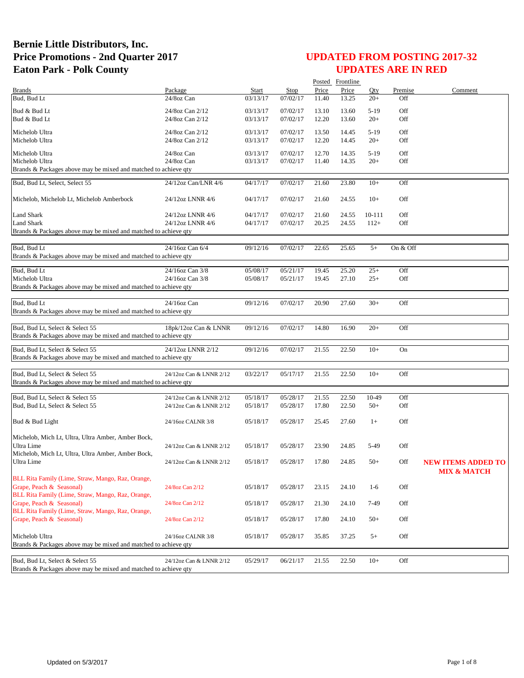|                                                                 |                         |              |             |       | Posted Frontline |        |          |                           |
|-----------------------------------------------------------------|-------------------------|--------------|-------------|-------|------------------|--------|----------|---------------------------|
| <b>Brands</b>                                                   | Package                 | <b>Start</b> | <b>Stop</b> | Price | Price            | Qty    | Premise  | Comment                   |
| Bud, Bud Lt                                                     | 24/8oz Can              | 03/13/17     | 07/02/17    | 11.40 | 13.25            | $20+$  | Off      |                           |
| Bud & Bud Lt                                                    | 24/8oz Can 2/12         | 03/13/17     | 07/02/17    | 13.10 | 13.60            | $5-19$ | Off      |                           |
| Bud & Bud Lt                                                    | 24/8oz Can 2/12         | 03/13/17     | 07/02/17    | 12.20 | 13.60            | $20+$  | Off      |                           |
|                                                                 |                         |              |             |       |                  |        |          |                           |
| Michelob Ultra                                                  | 24/8oz Can 2/12         | 03/13/17     | 07/02/17    | 13.50 | 14.45            | $5-19$ | Off      |                           |
| Michelob Ultra                                                  | 24/8oz Can 2/12         | 03/13/17     | 07/02/17    | 12.20 | 14.45            | $20+$  | Off      |                           |
|                                                                 |                         |              |             |       |                  |        |          |                           |
| Michelob Ultra                                                  | 24/8oz Can              | 03/13/17     | 07/02/17    | 12.70 | 14.35            | $5-19$ | Off      |                           |
| Michelob Ultra                                                  | 24/8oz Can              | 03/13/17     | 07/02/17    | 11.40 | 14.35            | $20+$  | Off      |                           |
| Brands & Packages above may be mixed and matched to achieve qty |                         |              |             |       |                  |        |          |                           |
| Bud, Bud Lt, Select, Select 55                                  | 24/12oz Can/LNR 4/6     | 04/17/17     | 07/02/17    | 21.60 | 23.80            | $10+$  | Off      |                           |
|                                                                 |                         |              |             |       |                  |        |          |                           |
| Michelob, Michelob Lt, Michelob Amberbock                       | 24/12oz LNNR 4/6        | 04/17/17     | 07/02/17    | 21.60 | 24.55            | $10+$  | Off      |                           |
|                                                                 |                         |              |             |       |                  |        |          |                           |
| Land Shark                                                      | 24/12oz LNNR 4/6        | 04/17/17     | 07/02/17    | 21.60 | 24.55            | 10-111 | Off      |                           |
| Land Shark                                                      | 24/12oz LNNR 4/6        | 04/17/17     | 07/02/17    | 20.25 | 24.55            | $112+$ | Off      |                           |
| Brands & Packages above may be mixed and matched to achieve qty |                         |              |             |       |                  |        |          |                           |
|                                                                 |                         |              |             |       |                  |        |          |                           |
| Bud, Bud Lt                                                     | 24/16oz Can 6/4         | 09/12/16     | 07/02/17    | 22.65 | 25.65            | $5+$   | On & Off |                           |
| Brands & Packages above may be mixed and matched to achieve qty |                         |              |             |       |                  |        |          |                           |
|                                                                 |                         |              |             |       |                  |        |          |                           |
| Bud. Bud Lt                                                     | 24/16oz Can 3/8         | 05/08/17     | 05/21/17    | 19.45 | 25.20            | $25+$  | Off      |                           |
| Michelob Ultra                                                  | 24/16oz Can 3/8         | 05/08/17     | 05/21/17    | 19.45 | 27.10            | $25+$  | Off      |                           |
| Brands & Packages above may be mixed and matched to achieve qty |                         |              |             |       |                  |        |          |                           |
|                                                                 |                         |              |             |       |                  |        |          |                           |
| Bud, Bud Lt                                                     | 24/16oz Can             | 09/12/16     | 07/02/17    | 20.90 | 27.60            | $30+$  | Off      |                           |
| Brands & Packages above may be mixed and matched to achieve qty |                         |              |             |       |                  |        |          |                           |
|                                                                 |                         |              |             |       |                  |        |          |                           |
| Bud, Bud Lt, Select & Select 55                                 | 18pk/12oz Can & LNNR    | 09/12/16     | 07/02/17    | 14.80 | 16.90            | $20+$  | Off      |                           |
| Brands & Packages above may be mixed and matched to achieve qty |                         |              |             |       |                  |        |          |                           |
| Bud, Bud Lt, Select & Select 55                                 | 24/12oz LNNR 2/12       | 09/12/16     | 07/02/17    | 21.55 | 22.50            | $10+$  | On       |                           |
| Brands & Packages above may be mixed and matched to achieve qty |                         |              |             |       |                  |        |          |                           |
|                                                                 |                         |              |             |       |                  |        |          |                           |
| Bud, Bud Lt, Select & Select 55                                 | 24/12oz Can & LNNR 2/12 | 03/22/17     | 05/17/17    | 21.55 | 22.50            | $10+$  | Off      |                           |
| Brands & Packages above may be mixed and matched to achieve qty |                         |              |             |       |                  |        |          |                           |
|                                                                 |                         |              |             |       |                  |        |          |                           |
| Bud, Bud Lt, Select & Select 55                                 | 24/12oz Can & LNNR 2/12 | 05/18/17     | 05/28/17    | 21.55 | 22.50            | 10-49  | Off      |                           |
| Bud, Bud Lt, Select & Select 55                                 | 24/12oz Can & LNNR 2/12 | 05/18/17     | 05/28/17    | 17.80 | 22.50            | $50+$  | Off      |                           |
|                                                                 |                         |              |             |       |                  |        |          |                           |
| Bud & Bud Light                                                 | 24/16oz CALNR 3/8       | 05/18/17     | 05/28/17    | 25.45 | 27.60            | $1+$   | Off      |                           |
|                                                                 |                         |              |             |       |                  |        |          |                           |
| Michelob, Mich Lt, Ultra, Ultra Amber, Amber Bock,              |                         |              |             |       |                  |        |          |                           |
| Ultra Lime                                                      | 24/12oz Can & LNNR 2/12 | 05/18/17     | 05/28/17    | 23.90 | 24.85            | 5-49   | Off      |                           |
| Michelob, Mich Lt, Ultra, Ultra Amber, Amber Bock,              |                         |              |             |       |                  |        |          |                           |
| Ultra Lime                                                      | 24/12oz Can & LNNR 2/12 | 05/18/17     | 05/28/17    | 17.80 | 24.85            | $50+$  | Off      | <b>NEW ITEMS ADDED TO</b> |
|                                                                 |                         |              |             |       |                  |        |          | <b>MIX &amp; MATCH</b>    |
| BLL Rita Family (Lime, Straw, Mango, Raz, Orange,               |                         |              |             |       |                  |        |          |                           |
| Grape, Peach & Seasonal)                                        | 24/8oz Can 2/12         | 05/18/17     | 05/28/17    | 23.15 | 24.10            | $1-6$  | Off      |                           |
| BLL Rita Family (Lime, Straw, Mango, Raz, Orange,               |                         |              |             |       |                  |        |          |                           |
| Grape, Peach & Seasonal)                                        | 24/8oz Can 2/12         | 05/18/17     | 05/28/17    | 21.30 | 24.10            | 7-49   | Off      |                           |
| BLL Rita Family (Lime, Straw, Mango, Raz, Orange,               |                         |              |             |       |                  |        |          |                           |
| Grape, Peach & Seasonal)                                        | 24/8oz Can 2/12         | 05/18/17     | 05/28/17    | 17.80 | 24.10            | $50+$  | Off      |                           |
|                                                                 |                         |              |             |       |                  |        |          |                           |
| Michelob Ultra                                                  | 24/16oz CALNR 3/8       | 05/18/17     | 05/28/17    | 35.85 | 37.25            | $5+$   | Off      |                           |
| Brands & Packages above may be mixed and matched to achieve qty |                         |              |             |       |                  |        |          |                           |
|                                                                 |                         |              |             |       |                  |        |          |                           |
| Bud, Bud Lt, Select & Select 55                                 | 24/12oz Can & LNNR 2/12 | 05/29/17     | 06/21/17    | 21.55 | 22.50            | $10+$  | Off      |                           |
| Brands & Packages above may be mixed and matched to achieve qty |                         |              |             |       |                  |        |          |                           |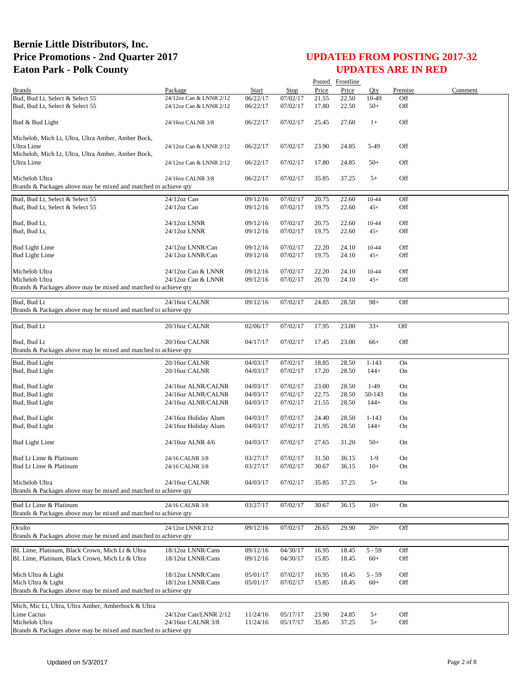|                                                                                   |                         |          |             |       | Posted Frontline |           |         |         |
|-----------------------------------------------------------------------------------|-------------------------|----------|-------------|-------|------------------|-----------|---------|---------|
| <b>Brands</b>                                                                     | Package                 | Start    | <b>Stop</b> | Price | Price            | Otv       | Premise | Comment |
| Bud, Bud Lt, Select & Select 55                                                   | 24/12oz Can & LNNR 2/12 | 06/22/17 | 07/02/17    | 21.55 | 22.50            | 10-49     | Off     |         |
| Bud, Bud Lt, Select & Select 55                                                   | 24/12oz Can & LNNR 2/12 | 06/22/17 | 07/02/17    | 17.80 | 22.50            | $50+$     | Off     |         |
| Bud & Bud Light                                                                   | 24/16oz CALNR 3/8       | 06/22/17 | 07/02/17    | 25.45 | 27.60            | $1+$      | Off     |         |
| Michelob, Mich Lt, Ultra, Ultra Amber, Amber Bock,                                |                         |          |             |       |                  |           |         |         |
| Ultra Lime                                                                        | 24/12oz Can & LNNR 2/12 | 06/22/17 | 07/02/17    | 23.90 | 24.85            | 5-49      | Off     |         |
| Michelob, Mich Lt, Ultra, Ultra Amber, Amber Bock,                                |                         |          |             |       |                  |           |         |         |
| Ultra Lime                                                                        | 24/12oz Can & LNNR 2/12 | 06/22/17 | 07/02/17    | 17.80 | 24.85            | $50+$     | Off     |         |
|                                                                                   |                         |          |             |       |                  |           |         |         |
| Michelob Ultra<br>Brands & Packages above may be mixed and matched to achieve gty | 24/16oz CALNR 3/8       | 06/22/17 | 07/02/17    | 35.85 | 37.25            | $5+$      | Off     |         |
|                                                                                   |                         |          |             |       |                  |           |         |         |
| Bud, Bud Lt, Select & Select 55                                                   | 24/12oz Can             | 09/12/16 | 07/02/17    | 20.75 | 22.60            | 10-44     | Off     |         |
| Bud, Bud Lt, Select & Select 55                                                   | $24/12$ oz Can          | 09/12/16 | 07/02/17    | 19.75 | 22.60            | $45+$     | Off     |         |
| Bud, Bud Lt,                                                                      | 24/12oz LNNR            | 09/12/16 | 07/02/17    | 20.75 | 22.60            | 10-44     | Off     |         |
| Bud, Bud Lt,                                                                      | 24/12oz LNNR            | 09/12/16 | 07/02/17    | 19.75 | 22.60            | $45+$     | Off     |         |
|                                                                                   |                         |          |             |       |                  |           |         |         |
| <b>Bud Light Lime</b>                                                             | 24/12oz LNNR/Can        | 09/12/16 | 07/02/17    | 22.20 | 24.10            | 10-44     | Off     |         |
| <b>Bud Light Lime</b>                                                             | 24/12oz LNNR/Can        | 09/12/16 | 07/02/17    | 19.75 | 24.10            | $45+$     | Off     |         |
|                                                                                   |                         |          |             |       |                  |           |         |         |
| Michelob Ultra                                                                    | 24/12oz Can & LNNR      | 09/12/16 | 07/02/17    | 22.20 | 24.10            | 10-44     | Off     |         |
| Michelob Ultra                                                                    | 24/12oz Can & LNNR      | 09/12/16 | 07/02/17    | 20.70 | 24.10            | $45+$     | Off     |         |
| Brands & Packages above may be mixed and matched to achieve qty                   |                         |          |             |       |                  |           |         |         |
| Bud, Bud Lt                                                                       | 24/16oz CALNR           | 09/12/16 | 07/02/17    | 24.85 | 28.50            | $98+$     | Off     |         |
| Brands & Packages above may be mixed and matched to achieve qty                   |                         |          |             |       |                  |           |         |         |
|                                                                                   |                         |          |             |       |                  |           |         |         |
| Bud, Bud Lt                                                                       | 20/16oz CALNR           | 02/06/17 | 07/02/17    | 17.95 | 23.00            | $33+$     | Off     |         |
| Bud, Bud Lt                                                                       | 20/16oz CALNR           | 04/17/17 | 07/02/17    | 17.45 | 23.00            | $66+$     | Off     |         |
| Brands & Packages above may be mixed and matched to achieve qty                   |                         |          |             |       |                  |           |         |         |
|                                                                                   |                         |          |             |       |                  |           |         |         |
| Bud, Bud Light                                                                    | 20/16oz CALNR           | 04/03/17 | 07/02/17    | 18.85 | 28.50            | $1 - 143$ | On      |         |
| Bud, Bud Light                                                                    | 20/16oz CALNR           | 04/03/17 | 07/02/17    | 17.20 | 28.50            | $144+$    | On      |         |
| Bud, Bud Light                                                                    | 24/16oz ALNR/CALNR      | 04/03/17 | 07/02/17    | 23.00 | 28.50            | $1-49$    | On      |         |
| Bud, Bud Light                                                                    | 24/16oz ALNR/CALNR      | 04/03/17 | 07/02/17    | 22.75 | 28.50            | 50-143    | On      |         |
| Bud, Bud Light                                                                    | 24/16oz ALNR/CALNR      | 04/03/17 | 07/02/17    | 21.55 | 28.50            | $144+$    | On      |         |
|                                                                                   |                         |          |             |       |                  |           |         |         |
| Bud, Bud Light                                                                    | 24/16oz Holiday Alum    | 04/03/17 | 07/02/17    | 24.40 | 28.50            | $1 - 143$ | On      |         |
| Bud, Bud Light                                                                    | 24/16oz Holiday Alum    | 04/03/17 | 07/02/17    | 21.95 | 28.50            | $144+$    | On      |         |
|                                                                                   | 24/16oz ALNR 4/6        | 04/03/17 | 07/02/17    | 27.65 | 31.20            | $50+$     | On      |         |
| <b>Bud Light Lime</b>                                                             |                         |          |             |       |                  |           |         |         |
| Bud Lt Lime & Platinum                                                            | 24/16 CALNR 3/8         | 03/27/17 | 07/02/17    | 31.50 | 36.15            | $1-9$     | On      |         |
| Bud Lt Lime & Platinum                                                            | 24/16 CALNR 3/8         | 03/27/17 | 07/02/17    | 30.67 | 36.15            | $10+$     | On      |         |
|                                                                                   |                         |          |             |       |                  |           |         |         |
| Michelob Ultra                                                                    | 24/16oz CALNR           | 04/03/17 | 07/02/17    | 35.85 | 37.25            | $5+$      | On      |         |
| Brands & Packages above may be mixed and matched to achieve qty                   |                         |          |             |       |                  |           |         |         |
| Bud Lt Lime & Platinum                                                            | 24/16 CALNR 3/8         | 03/27/17 | 07/02/17    | 30.67 | 36.15            | $10+$     | On      |         |
| Brands & Packages above may be mixed and matched to achieve qty                   |                         |          |             |       |                  |           |         |         |
|                                                                                   |                         |          |             |       |                  |           |         |         |
| Oculto                                                                            | 24/12oz LNNR 2/12       | 09/12/16 | 07/02/17    | 26.65 | 29.90            | $20+$     | Off     |         |
| Brands & Packages above may be mixed and matched to achieve qty                   |                         |          |             |       |                  |           |         |         |
| BL Lime, Platinum, Black Crown, Mich Lt & Ultra                                   | 18/12oz LNNR/Cans       | 09/12/16 | 04/30/17    | 16.95 | 18.45            | $5 - 59$  | Off     |         |
| BL Lime, Platinum, Black Crown, Mich Lt & Ultra                                   | 18/12oz LNNR/Cans       | 09/12/16 | 04/30/17    | 15.85 | 18.45            | $60+$     | Off     |         |
|                                                                                   |                         |          |             |       |                  |           |         |         |
| Mich Ultra & Light                                                                | 18/12oz LNNR/Cans       | 05/01/17 | 07/02/17    | 16.95 | 18.45            | $5 - 59$  | Off     |         |
| Mich Ultra & Light                                                                | 18/12oz LNNR/Cans       | 05/01/17 | 07/02/17    | 15.85 | 18.45            | $60+$     | Off     |         |
| Brands & Packages above may be mixed and matched to achieve qty                   |                         |          |             |       |                  |           |         |         |
| Mich, Mic Lt, Ultra, Ultra Amber, Amberbock & Ultra                               |                         |          |             |       |                  |           |         |         |
| Lime Cactus                                                                       | 24/12oz Can/LNNR 2/12   | 11/24/16 | 05/17/17    | 23.90 | 24.85            | $5+$      | Off     |         |
| Michelob Ultra                                                                    | 24/16oz CALNR 3/8       | 11/24/16 | 05/17/17    | 35.85 | 37.25            | $5+$      | Off     |         |
| Brands & Packages above may be mixed and matched to achieve qty                   |                         |          |             |       |                  |           |         |         |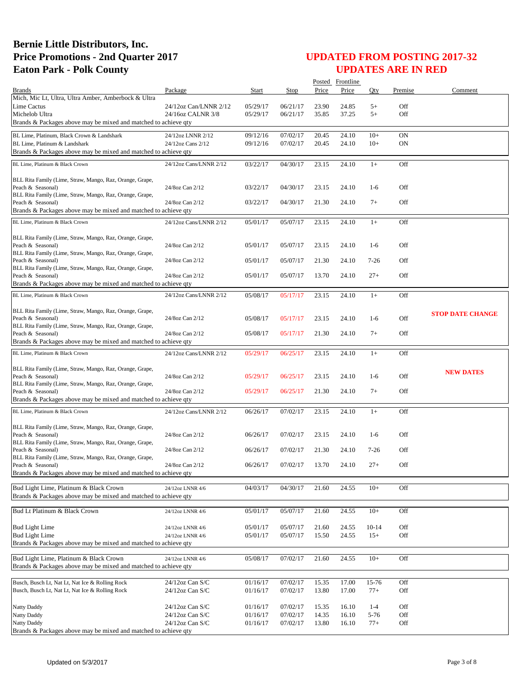|                                                                                                           |                        |          |          |       | Posted Frontline |              |            |                         |
|-----------------------------------------------------------------------------------------------------------|------------------------|----------|----------|-------|------------------|--------------|------------|-------------------------|
| <b>Brands</b>                                                                                             | Package                | Start    | Stop     | Price | Price            | Oty          | Premise    | Comment                 |
| Mich, Mic Lt, Ultra, Ultra Amber, Amberbock & Ultra                                                       |                        |          |          |       |                  |              |            |                         |
| Lime Cactus                                                                                               | 24/12oz Can/LNNR 2/12  | 05/29/17 | 06/21/17 | 23.90 | 24.85            | $5+$<br>$5+$ | Off<br>Off |                         |
| Michelob Ultra<br>Brands & Packages above may be mixed and matched to achieve qty                         | 24/16oz CALNR 3/8      | 05/29/17 | 06/21/17 | 35.85 | 37.25            |              |            |                         |
|                                                                                                           |                        |          |          |       |                  |              |            |                         |
| BL Lime, Platinum, Black Crown & Landshark                                                                | 24/12oz LNNR 2/12      | 09/12/16 | 07/02/17 | 20.45 | 24.10            | $10+$        | ON         |                         |
| BL Lime, Platinum & Landshark                                                                             | 24/12oz Cans 2/12      | 09/12/16 | 07/02/17 | 20.45 | 24.10            | $10+$        | <b>ON</b>  |                         |
| Brands & Packages above may be mixed and matched to achieve qty                                           |                        |          |          |       |                  |              |            |                         |
| BL Lime. Platinum & Black Crown                                                                           | 24/12oz Cans/LNNR 2/12 | 03/22/17 | 04/30/17 | 23.15 | 24.10            | $1+$         | Off        |                         |
|                                                                                                           |                        |          |          |       |                  |              |            |                         |
| BLL Rita Family (Lime, Straw, Mango, Raz, Orange, Grape,<br>Peach & Seasonal)                             | 24/8oz Can 2/12        | 03/22/17 | 04/30/17 | 23.15 | 24.10            | $1-6$        | Off        |                         |
| BLL Rita Family (Lime, Straw, Mango, Raz, Orange, Grape,                                                  |                        |          |          |       |                  |              |            |                         |
| Peach & Seasonal)                                                                                         | 24/8oz Can 2/12        | 03/22/17 | 04/30/17 | 21.30 | 24.10            | $7+$         | Off        |                         |
| Brands & Packages above may be mixed and matched to achieve qty                                           |                        |          |          |       |                  |              |            |                         |
| BL Lime, Platinum & Black Crown                                                                           | 24/12oz Cans/LNNR 2/12 | 05/01/17 | 05/07/17 | 23.15 | 24.10            | $1+$         | Off        |                         |
|                                                                                                           |                        |          |          |       |                  |              |            |                         |
| BLL Rita Family (Lime, Straw, Mango, Raz, Orange, Grape,                                                  |                        |          |          |       |                  |              |            |                         |
| Peach & Seasonal)<br>BLL Rita Family (Lime, Straw, Mango, Raz, Orange, Grape,                             | 24/8oz Can 2/12        | 05/01/17 | 05/07/17 | 23.15 | 24.10            | $1-6$        | Off        |                         |
| Peach & Seasonal)                                                                                         | 24/8oz Can 2/12        | 05/01/17 | 05/07/17 | 21.30 | 24.10            | $7 - 26$     | Off        |                         |
| BLL Rita Family (Lime, Straw, Mango, Raz, Orange, Grape,                                                  |                        |          |          |       |                  |              |            |                         |
| Peach & Seasonal)                                                                                         | 24/8oz Can 2/12        | 05/01/17 | 05/07/17 | 13.70 | 24.10            | $27+$        | Off        |                         |
| Brands & Packages above may be mixed and matched to achieve qty                                           |                        |          |          |       |                  |              |            |                         |
| BL Lime, Platinum & Black Crown                                                                           | 24/12oz Cans/LNNR 2/12 | 05/08/17 | 05/17/17 | 23.15 | 24.10            | $1+$         | Off        |                         |
|                                                                                                           |                        |          |          |       |                  |              |            |                         |
| BLL Rita Family (Lime, Straw, Mango, Raz, Orange, Grape,<br>Peach & Seasonal)                             | 24/8oz Can 2/12        |          |          |       |                  |              | Off        | <b>STOP DATE CHANGE</b> |
| BLL Rita Family (Lime, Straw, Mango, Raz, Orange, Grape,                                                  |                        | 05/08/17 | 05/17/17 | 23.15 | 24.10            | $1-6$        |            |                         |
| Peach & Seasonal)                                                                                         | 24/8oz Can 2/12        | 05/08/17 | 05/17/17 | 21.30 | 24.10            | $7+$         | Off        |                         |
| Brands & Packages above may be mixed and matched to achieve qty                                           |                        |          |          |       |                  |              |            |                         |
| BL Lime, Platinum & Black Crown                                                                           | 24/12oz Cans/LNNR 2/12 | 05/29/17 | 06/25/17 | 23.15 | 24.10            | $1+$         | Off        |                         |
|                                                                                                           |                        |          |          |       |                  |              |            |                         |
| BLL Rita Family (Lime, Straw, Mango, Raz, Orange, Grape,                                                  |                        |          |          |       |                  |              |            | <b>NEW DATES</b>        |
| Peach & Seasonal)                                                                                         | 24/8oz Can 2/12        | 05/29/17 | 06/25/17 | 23.15 | 24.10            | $1-6$        | Off        |                         |
| BLL Rita Family (Lime, Straw, Mango, Raz, Orange, Grape,<br>Peach & Seasonal)                             | 24/8oz Can 2/12        | 05/29/17 | 06/25/17 | 21.30 | 24.10            | $7+$         | Off        |                         |
| Brands & Packages above may be mixed and matched to achieve qty                                           |                        |          |          |       |                  |              |            |                         |
| BL Lime, Platinum & Black Crown                                                                           | 24/12oz Cans/LNNR 2/12 | 06/26/17 | 07/02/17 | 23.15 | 24.10            | $1+$         | Off        |                         |
|                                                                                                           |                        |          |          |       |                  |              |            |                         |
| BLL Rita Family (Lime, Straw, Mango, Raz, Orange, Grape,                                                  |                        |          |          |       |                  |              |            |                         |
| Peach & Seasonal)                                                                                         | 24/8oz Can 2/12        | 06/26/17 | 07/02/17 | 23.15 | 24.10            | $1-6$        | Off        |                         |
| BLL Rita Family (Lime, Straw, Mango, Raz, Orange, Grape,                                                  |                        |          |          |       |                  |              |            |                         |
| Peach & Seasonal)<br>BLL Rita Family (Lime, Straw, Mango, Raz, Orange, Grape,                             | 24/8oz Can 2/12        | 06/26/17 | 07/02/17 | 21.30 | 24.10            | $7-26$       | Off        |                         |
| Peach & Seasonal)                                                                                         | 24/8oz Can 2/12        | 06/26/17 | 07/02/17 | 13.70 | 24.10            | $27 +$       | Off        |                         |
| Brands & Packages above may be mixed and matched to achieve qty                                           |                        |          |          |       |                  |              |            |                         |
|                                                                                                           |                        |          |          |       |                  |              |            |                         |
| Bud Light Lime, Platinum & Black Crown<br>Brands & Packages above may be mixed and matched to achieve qty | 24/12oz LNNR 4/6       | 04/03/17 | 04/30/17 | 21.60 | 24.55            | $10+$        | Off        |                         |
|                                                                                                           |                        |          |          |       |                  |              |            |                         |
| Bud Lt Platinum & Black Crown                                                                             | 24/12oz LNNR 4/6       | 05/01/17 | 05/07/17 | 21.60 | 24.55            | $10+$        | Off        |                         |
|                                                                                                           |                        |          |          |       |                  |              |            |                         |
| <b>Bud Light Lime</b>                                                                                     | 24/12oz LNNR 4/6       | 05/01/17 | 05/07/17 | 21.60 | 24.55            | $10 - 14$    | Off        |                         |
| <b>Bud Light Lime</b>                                                                                     | 24/12oz LNNR 4/6       | 05/01/17 | 05/07/17 | 15.50 | 24.55            | $15+$        | Off        |                         |
| Brands & Packages above may be mixed and matched to achieve qty                                           |                        |          |          |       |                  |              |            |                         |
| Bud Light Lime, Platinum & Black Crown                                                                    | 24/12oz LNNR 4/6       | 05/08/17 | 07/02/17 | 21.60 | 24.55            | $10+$        | Off        |                         |
| Brands & Packages above may be mixed and matched to achieve qty                                           |                        |          |          |       |                  |              |            |                         |
|                                                                                                           |                        |          |          |       |                  |              |            |                         |
| Busch, Busch Lt, Nat Lt, Nat Ice & Rolling Rock                                                           | 24/12oz Can S/C        | 01/16/17 | 07/02/17 | 15.35 | 17.00            | 15-76        | Off        |                         |
| Busch, Busch Lt, Nat Lt, Nat Ice & Rolling Rock                                                           | 24/12oz Can S/C        | 01/16/17 | 07/02/17 | 13.80 | 17.00            | $77+$        | Off        |                         |
| Natty Daddy                                                                                               | 24/12oz Can S/C        | 01/16/17 | 07/02/17 | 15.35 | 16.10            | $1 - 4$      | Off        |                         |
| Natty Daddy                                                                                               | 24/12oz Can S/C        | 01/16/17 | 07/02/17 | 14.35 | 16.10            | 5-76         | Off        |                         |
| Natty Daddy                                                                                               | $24/12$ oz Can S/C     | 01/16/17 | 07/02/17 | 13.80 | 16.10            | $77+$        | Off        |                         |
| Brands & Packages above may be mixed and matched to achieve qty                                           |                        |          |          |       |                  |              |            |                         |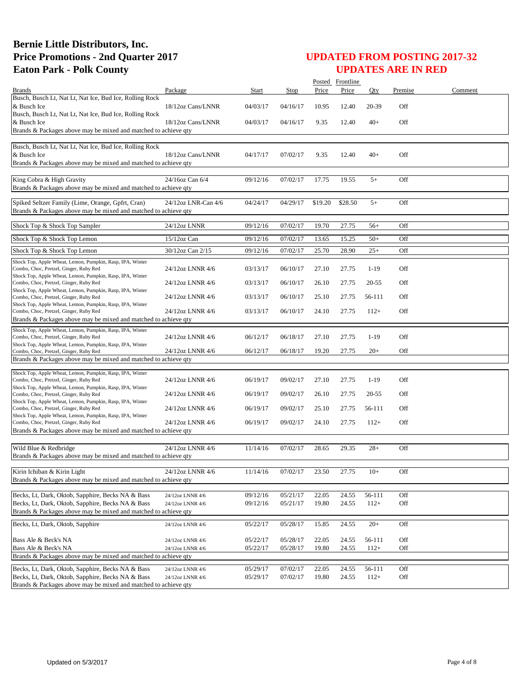|                                                                                                        |                     |          |                      |                | Posted Frontline |           |            |         |
|--------------------------------------------------------------------------------------------------------|---------------------|----------|----------------------|----------------|------------------|-----------|------------|---------|
| <b>Brands</b>                                                                                          | Package             | Start    | Stop                 | Price          | Price            | Oty       | Premise    | Comment |
| Busch, Busch Lt, Nat Lt, Nat Ice, Bud Ice, Rolling Rock                                                |                     |          |                      |                |                  |           |            |         |
| & Busch Ice<br>Busch, Busch Lt, Nat Lt, Nat Ice, Bud Ice, Rolling Rock                                 | 18/12oz Cans/LNNR   | 04/03/17 | 04/16/17             | 10.95          | 12.40            | 20-39     | Off        |         |
| & Busch Ice                                                                                            | 18/12oz Cans/LNNR   | 04/03/17 | 04/16/17             | 9.35           | 12.40            | $40+$     | Off        |         |
| Brands & Packages above may be mixed and matched to achieve qty                                        |                     |          |                      |                |                  |           |            |         |
|                                                                                                        |                     |          |                      |                |                  |           |            |         |
| Busch, Busch Lt, Nat Lt, Nat Ice, Bud Ice, Rolling Rock                                                |                     |          |                      |                |                  |           |            |         |
| & Busch Ice<br>Brands & Packages above may be mixed and matched to achieve qty                         | 18/12oz Cans/LNNR   | 04/17/17 | 07/02/17             | 9.35           | 12.40            | $40+$     | Off        |         |
|                                                                                                        |                     |          |                      |                |                  |           |            |         |
| King Cobra & High Gravity                                                                              | 24/16oz Can 6/4     | 09/12/16 | 07/02/17             | 17.75          | 19.55            | $5+$      | Off        |         |
| Brands & Packages above may be mixed and matched to achieve qty                                        |                     |          |                      |                |                  |           |            |         |
| Spiked Seltzer Family (Lime, Orange, Gpfrt, Cran)                                                      | 24/12oz LNR-Can 4/6 | 04/24/17 | 04/29/17             | \$19.20        | \$28.50          | $5+$      | Off        |         |
| Brands & Packages above may be mixed and matched to achieve qty                                        |                     |          |                      |                |                  |           |            |         |
|                                                                                                        |                     |          |                      |                |                  |           |            |         |
| Shock Top & Shock Top Sampler                                                                          | 24/12oz LNNR        | 09/12/16 | 07/02/17             | 19.70          | 27.75            | $56+$     | Off        |         |
| Shock Top & Shock Top Lemon                                                                            | 15/12oz Can         | 09/12/16 | 07/02/17             | 13.65          | 15.25            | $50+$     | Off        |         |
|                                                                                                        | 30/12oz Can 2/15    |          |                      |                |                  |           |            |         |
| Shock Top & Shock Top Lemon                                                                            |                     | 09/12/16 | 07/02/17             | 25.70          | 28.90            | $25+$     | Off        |         |
| Shock Top, Apple Wheat, Lemon, Pumpkin, Rasp, IPA, Winter<br>Combo, Choc, Pretzel, Ginger, Ruby Red    | 24/12oz LNNR 4/6    | 03/13/17 | 06/10/17             | 27.10          | 27.75            | $1-19$    | Off        |         |
| Shock Top, Apple Wheat, Lemon, Pumpkin, Rasp, IPA, Winter                                              |                     |          |                      |                |                  |           |            |         |
| Combo, Choc, Pretzel, Ginger, Ruby Red                                                                 | 24/12oz LNNR 4/6    | 03/13/17 | 06/10/17             | 26.10          | 27.75            | $20 - 55$ | Off        |         |
| Shock Top, Apple Wheat, Lemon, Pumpkin, Rasp, IPA, Winter<br>Combo, Choc, Pretzel, Ginger, Ruby Red    | 24/12oz LNNR 4/6    | 03/13/17 | 06/10/17             | 25.10          | 27.75            | 56-111    | Off        |         |
| Shock Top, Apple Wheat, Lemon, Pumpkin, Rasp, IPA, Winter                                              |                     |          |                      |                |                  |           |            |         |
| Combo, Choc, Pretzel, Ginger, Ruby Red                                                                 | 24/12oz LNNR 4/6    | 03/13/17 | 06/10/17             | 24.10          | 27.75            | $112+$    | Off        |         |
| Brands & Packages above may be mixed and matched to achieve qty                                        |                     |          |                      |                |                  |           |            |         |
| Shock Top, Apple Wheat, Lemon, Pumpkin, Rasp, IPA, Winter                                              |                     |          |                      |                |                  |           |            |         |
| Combo, Choc, Pretzel, Ginger, Ruby Red<br>Shock Top, Apple Wheat, Lemon, Pumpkin, Rasp, IPA, Winter    | 24/12oz LNNR 4/6    | 06/12/17 | 06/18/17             | 27.10          | 27.75            | $1-19$    | Off        |         |
| Combo, Choc, Pretzel, Ginger, Ruby Red                                                                 | 24/12oz LNNR 4/6    | 06/12/17 | 06/18/17             | 19.20          | 27.75            | $20+$     | Off        |         |
| Brands & Packages above may be mixed and matched to achieve qty                                        |                     |          |                      |                |                  |           |            |         |
| Shock Top, Apple Wheat, Lemon, Pumpkin, Rasp, IPA, Winter                                              |                     |          |                      |                |                  |           |            |         |
| Combo, Choc, Pretzel, Ginger, Ruby Red                                                                 | 24/12oz LNNR 4/6    | 06/19/17 | 09/02/17             | 27.10          | 27.75            | $1-19$    | Off        |         |
| Shock Top, Apple Wheat, Lemon, Pumpkin, Rasp, IPA, Winter                                              |                     |          |                      |                |                  |           |            |         |
| Combo, Choc, Pretzel, Ginger, Ruby Red<br>Shock Top, Apple Wheat, Lemon, Pumpkin, Rasp, IPA, Winter    | 24/12oz LNNR 4/6    | 06/19/17 | 09/02/17             | 26.10          | 27.75            | $20 - 55$ | Off        |         |
| Combo, Choc, Pretzel, Ginger, Ruby Red                                                                 | 24/12oz LNNR 4/6    | 06/19/17 | 09/02/17             | 25.10          | 27.75            | 56-111    | Off        |         |
| Shock Top, Apple Wheat, Lemon, Pumpkin, Rasp, IPA, Winter<br>Combo, Choc, Pretzel, Ginger, Ruby Red    | 24/12oz LNNR 4/6    | 06/19/17 | 09/02/17             | 24.10          | 27.75            | $112+$    | Off        |         |
| Brands & Packages above may be mixed and matched to achieve qty                                        |                     |          |                      |                |                  |           |            |         |
|                                                                                                        |                     |          |                      |                |                  |           |            |         |
| Wild Blue & Redbridge                                                                                  | 24/12oz LNNR 4/6    | 11/14/16 | 07/02/17             | 28.65          | 29.35            | $28+$     | Off        |         |
| Brands & Packages above may be mixed and matched to achieve qty                                        |                     |          |                      |                |                  |           |            |         |
|                                                                                                        | 24/12oz LNNR 4/6    |          |                      |                |                  |           |            |         |
| Kirin Ichiban & Kirin Light<br>Brands & Packages above may be mixed and matched to achieve qty         |                     | 11/14/16 | 07/02/17             | 23.50          | 27.75            | $10+$     | Off        |         |
|                                                                                                        |                     |          |                      |                |                  |           |            |         |
| Becks, Lt, Dark, Oktob, Sapphire, Becks NA & Bass                                                      | 24/12oz LNNR 4/6    | 09/12/16 | 05/21/17             | 22.05          | 24.55            | 56-111    | Off        |         |
| Becks, Lt, Dark, Oktob, Sapphire, Becks NA & Bass                                                      | 24/12oz LNNR 4/6    | 09/12/16 | 05/21/17             | 19.80          | 24.55            | $112+$    | Off        |         |
| Brands & Packages above may be mixed and matched to achieve qty                                        |                     |          |                      |                |                  |           |            |         |
| Becks, Lt, Dark, Oktob, Sapphire                                                                       | 24/12oz LNNR 4/6    | 05/22/17 | 05/28/17             | 15.85          | 24.55            | $20+$     | Off        |         |
|                                                                                                        |                     |          |                      |                |                  |           |            |         |
| Bass Ale & Beck's NA                                                                                   | 24/12oz LNNR 4/6    | 05/22/17 | 05/28/17             | 22.05          | 24.55            | 56-111    | Off        |         |
| Bass Ale & Beck's NA<br>Brands & Packages above may be mixed and matched to achieve qty                | 24/12oz LNNR 4/6    | 05/22/17 | 05/28/17             | 19.80          | 24.55            | $112+$    | Off        |         |
|                                                                                                        |                     |          |                      |                |                  |           |            |         |
| Becks, Lt, Dark, Oktob, Sapphire, Becks NA & Bass<br>Becks, Lt, Dark, Oktob, Sapphire, Becks NA & Bass | 24/12oz LNNR 4/6    | 05/29/17 | 07/02/17<br>07/02/17 | 22.05<br>19.80 | 24.55<br>24.55   | 56-111    | Off<br>Off |         |
| Brands & Packages above may be mixed and matched to achieve qty                                        | 24/12oz LNNR 4/6    | 05/29/17 |                      |                |                  | $112+$    |            |         |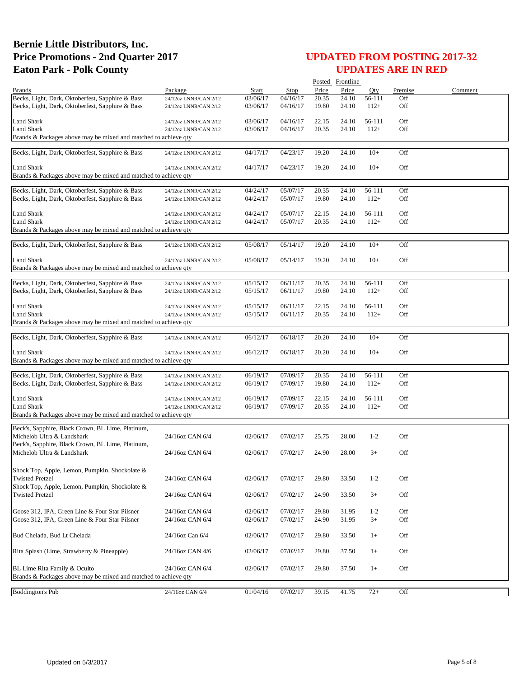|                                                                          |                       |          |          |       | Posted Frontline |         |         |         |
|--------------------------------------------------------------------------|-----------------------|----------|----------|-------|------------------|---------|---------|---------|
| <b>Brands</b>                                                            | Package               | Start    | Stop     | Price | Price            | Oty     | Premise | Comment |
| Becks, Light, Dark, Oktoberfest, Sapphire & Bass                         | 24/12oz LNNR/CAN 2/12 | 03/06/17 | 04/16/17 | 20.35 | 24.10            | 56-111  | Off     |         |
| Becks, Light, Dark, Oktoberfest, Sapphire & Bass                         | 24/12oz LNNR/CAN 2/12 | 03/06/17 | 04/16/17 | 19.80 | 24.10            | $112+$  | Off     |         |
| Land Shark                                                               | 24/12oz LNNR/CAN 2/12 | 03/06/17 | 04/16/17 | 22.15 | 24.10            | 56-111  | Off     |         |
| <b>Land Shark</b>                                                        | 24/12oz LNNR/CAN 2/12 | 03/06/17 | 04/16/17 | 20.35 | 24.10            | $112+$  | Off     |         |
| Brands & Packages above may be mixed and matched to achieve qty          |                       |          |          |       |                  |         |         |         |
| Becks, Light, Dark, Oktoberfest, Sapphire & Bass                         | 24/12oz LNNR/CAN 2/12 | 04/17/17 | 04/23/17 | 19.20 | 24.10            | $10+$   | Off     |         |
|                                                                          |                       |          |          |       |                  |         |         |         |
| Land Shark                                                               | 24/12oz LNNR/CAN 2/12 | 04/17/17 | 04/23/17 | 19.20 | 24.10            | $10+$   | Off     |         |
| Brands & Packages above may be mixed and matched to achieve qty          |                       |          |          |       |                  |         |         |         |
| Becks, Light, Dark, Oktoberfest, Sapphire & Bass                         | 24/12oz LNNR/CAN 2/12 | 04/24/17 | 05/07/17 | 20.35 | 24.10            | 56-111  | Off     |         |
| Becks, Light, Dark, Oktoberfest, Sapphire & Bass                         | 24/12oz LNNR/CAN 2/12 | 04/24/17 | 05/07/17 | 19.80 | 24.10            | $112+$  | Off     |         |
|                                                                          |                       |          |          |       |                  |         |         |         |
| Land Shark                                                               | 24/12oz LNNR/CAN 2/12 | 04/24/17 | 05/07/17 | 22.15 | 24.10            | 56-111  | Off     |         |
| <b>Land Shark</b>                                                        | 24/12oz LNNR/CAN 2/12 | 04/24/17 | 05/07/17 | 20.35 | 24.10            | $112+$  | Off     |         |
| Brands & Packages above may be mixed and matched to achieve qty          |                       |          |          |       |                  |         |         |         |
| Becks, Light, Dark, Oktoberfest, Sapphire & Bass                         | 24/12oz LNNR/CAN 2/12 | 05/08/17 | 05/14/17 | 19.20 | 24.10            | $10+$   | Off     |         |
|                                                                          |                       |          |          |       |                  |         |         |         |
| Land Shark                                                               | 24/12oz LNNR/CAN 2/12 | 05/08/17 | 05/14/17 | 19.20 | 24.10            | $10+$   | Off     |         |
| Brands & Packages above may be mixed and matched to achieve gty          |                       |          |          |       |                  |         |         |         |
| Becks, Light, Dark, Oktoberfest, Sapphire & Bass                         | 24/12oz LNNR/CAN 2/12 | 05/15/17 | 06/11/17 | 20.35 | 24.10            | 56-111  | Off     |         |
| Becks, Light, Dark, Oktoberfest, Sapphire & Bass                         | 24/12oz LNNR/CAN 2/12 | 05/15/17 | 06/11/17 | 19.80 | 24.10            | $112+$  | Off     |         |
|                                                                          |                       |          |          |       |                  |         |         |         |
| Land Shark                                                               | 24/12oz LNNR/CAN 2/12 | 05/15/17 | 06/11/17 | 22.15 | 24.10            | 56-111  | Off     |         |
| <b>Land Shark</b>                                                        | 24/12oz LNNR/CAN 2/12 | 05/15/17 | 06/11/17 | 20.35 | 24.10            | $112+$  | Off     |         |
| Brands & Packages above may be mixed and matched to achieve qty          |                       |          |          |       |                  |         |         |         |
| Becks, Light, Dark, Oktoberfest, Sapphire & Bass                         | 24/12oz LNNR/CAN 2/12 | 06/12/17 | 06/18/17 | 20.20 | 24.10            | $10+$   | Off     |         |
|                                                                          |                       |          |          |       |                  |         |         |         |
| Land Shark                                                               | 24/12oz LNNR/CAN 2/12 | 06/12/17 | 06/18/17 | 20.20 | 24.10            | $10+$   | Off     |         |
| Brands & Packages above may be mixed and matched to achieve qty          |                       |          |          |       |                  |         |         |         |
| Becks, Light, Dark, Oktoberfest, Sapphire & Bass                         | 24/12oz LNNR/CAN 2/12 | 06/19/17 | 07/09/17 | 20.35 | 24.10            | 56-111  | Off     |         |
| Becks, Light, Dark, Oktoberfest, Sapphire & Bass                         | 24/12oz LNNR/CAN 2/12 | 06/19/17 | 07/09/17 | 19.80 | 24.10            | $112+$  | Off     |         |
|                                                                          |                       |          |          |       |                  |         |         |         |
| Land Shark                                                               | 24/12oz LNNR/CAN 2/12 | 06/19/17 | 07/09/17 | 22.15 | 24.10            | 56-111  | Off     |         |
| <b>Land Shark</b>                                                        | 24/12oz LNNR/CAN 2/12 | 06/19/17 | 07/09/17 | 20.35 | 24.10            | $112+$  | Off     |         |
| Brands & Packages above may be mixed and matched to achieve qty          |                       |          |          |       |                  |         |         |         |
| Beck's, Sapphire, Black Crown, BL Lime, Platinum,                        |                       |          |          |       |                  |         |         |         |
| Michelob Ultra & Landshark                                               | 24/16oz CAN 6/4       | 02/06/17 | 07/02/17 | 25.75 | 28.00            | $1-2$   | Off     |         |
| Beck's, Sapphire, Black Crown, BL Lime, Platinum,                        |                       |          |          |       |                  |         |         |         |
| Michelob Ultra & Landshark                                               | 24/16oz CAN 6/4       | 02/06/17 | 07/02/17 | 24.90 | 28.00            | $3+$    | Off     |         |
|                                                                          |                       |          |          |       |                  |         |         |         |
| Shock Top, Apple, Lemon, Pumpkin, Shockolate &                           |                       |          |          |       |                  |         |         |         |
| <b>Twisted Pretzel</b>                                                   | 24/16oz CAN 6/4       | 02/06/17 | 07/02/17 | 29.80 | 33.50            | $1 - 2$ | Off     |         |
| Shock Top, Apple, Lemon, Pumpkin, Shockolate &<br><b>Twisted Pretzel</b> | 24/16oz CAN 6/4       |          | 07/02/17 |       |                  |         | Off     |         |
|                                                                          |                       | 02/06/17 |          | 24.90 | 33.50            | $3+$    |         |         |
| Goose 312, IPA, Green Line & Four Star Pilsner                           | 24/16oz CAN 6/4       | 02/06/17 | 07/02/17 | 29.80 | 31.95            | $1 - 2$ | Off     |         |
| Goose 312, IPA, Green Line & Four Star Pilsner                           | 24/16oz CAN 6/4       | 02/06/17 | 07/02/17 | 24.90 | 31.95            | $3+$    | Off     |         |
|                                                                          |                       |          |          |       |                  |         |         |         |
| Bud Chelada, Bud Lt Chelada                                              | 24/16oz Can 6/4       | 02/06/17 | 07/02/17 | 29.80 | 33.50            | $1+$    | Off     |         |
|                                                                          |                       |          |          |       |                  |         |         |         |
| Rita Splash (Lime, Strawberry & Pineapple)                               | 24/16oz CAN 4/6       | 02/06/17 | 07/02/17 | 29.80 | 37.50            | $1+$    | Off     |         |
| BL Lime Rita Family & Oculto                                             |                       |          |          |       |                  |         |         |         |
| Brands & Packages above may be mixed and matched to achieve qty          | 24/16oz CAN 6/4       | 02/06/17 | 07/02/17 | 29.80 | 37.50            | $1+$    | Off     |         |
|                                                                          |                       |          |          |       |                  |         |         |         |
| <b>Boddington's Pub</b>                                                  | 24/16oz CAN 6/4       | 01/04/16 | 07/02/17 | 39.15 | 41.75            | $72+$   | Off     |         |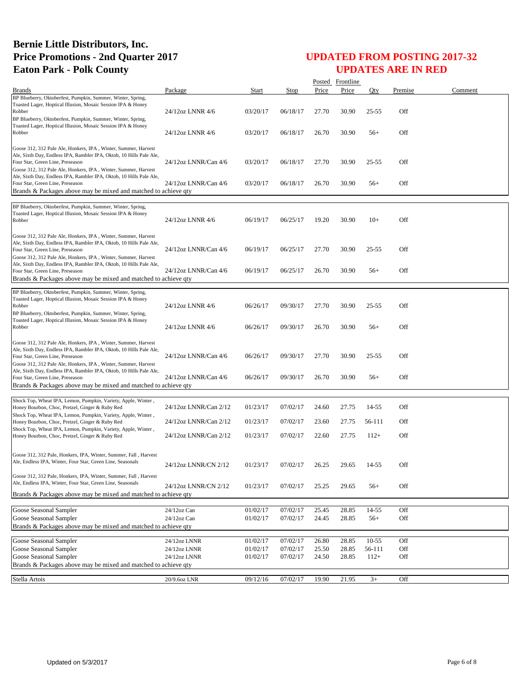|                                                                                                                                                                                                                                             |                               |                      |                      |                | Posted Frontline |                    |            |         |
|---------------------------------------------------------------------------------------------------------------------------------------------------------------------------------------------------------------------------------------------|-------------------------------|----------------------|----------------------|----------------|------------------|--------------------|------------|---------|
| <b>Brands</b>                                                                                                                                                                                                                               | Package                       | Start                | Stop                 | Price          | Price            | Otv                | Premise    | Comment |
| BP Blueberry, Oktoberfest, Pumpkin, Summer, Winter, Spring,<br>Toasted Lager, Hoptical Illusion, Mosaic Session IPA & Honey<br>Robber<br>BP Blueberry, Oktoberfest, Pumpkin, Summer, Winter, Spring,                                        | 24/12oz LNNR 4/6              | 03/20/17             | 06/18/17             | 27.70          | 30.90            | $25 - 55$          | Off        |         |
| Toasted Lager, Hoptical Illusion, Mosaic Session IPA & Honey<br>Robber                                                                                                                                                                      | 24/12oz LNNR 4/6              | 03/20/17             | 06/18/17             | 26.70          | 30.90            | 56+                | Off        |         |
| Goose 312, 312 Pale Ale, Honkers, IPA, Winter, Summer, Harvest<br>Ale, Sixth Day, Endless IPA, Rambler IPA, Oktob, 10 Hills Pale Ale,<br>Four Star, Green Line, Preseason<br>Goose 312, 312 Pale Ale, Honkers, IPA, Winter, Summer, Harvest | 24/12oz LNNR/Can 4/6          | 03/20/17             | 06/18/17             | 27.70          | 30.90            | $25 - 55$          | Off        |         |
| Ale, Sixth Day, Endless IPA, Rambler IPA, Oktob, 10 Hills Pale Ale,<br>Four Star, Green Line, Preseason<br>Brands & Packages above may be mixed and matched to achieve qty                                                                  | 24/12oz LNNR/Can 4/6          | 03/20/17             | 06/18/17             | 26.70          | 30.90            | $56+$              | Off        |         |
| BP Blueberry, Oktoberfest, Pumpkin, Summer, Winter, Spring,                                                                                                                                                                                 |                               |                      |                      |                |                  |                    |            |         |
| Toasted Lager, Hoptical Illusion, Mosaic Session IPA & Honey<br>Robber                                                                                                                                                                      | 24/12oz LNNR 4/6              | 06/19/17             | 06/25/17             | 19.20          | 30.90            | $10+$              | Off        |         |
| Goose 312, 312 Pale Ale, Honkers, IPA, Winter, Summer, Harvest<br>Ale, Sixth Day, Endless IPA, Rambler IPA, Oktob, 10 Hills Pale Ale,<br>Four Star, Green Line, Preseason<br>Goose 312, 312 Pale Ale, Honkers, IPA, Winter, Summer, Harvest | 24/12oz LNNR/Can 4/6          | 06/19/17             | 06/25/17             | 27.70          | 30.90            | $25 - 55$          | Off        |         |
| Ale, Sixth Day, Endless IPA, Rambler IPA, Oktob, 10 Hills Pale Ale,<br>Four Star, Green Line, Preseason<br>Brands & Packages above may be mixed and matched to achieve gty                                                                  | 24/12oz LNNR/Can 4/6          | 06/19/17             | 06/25/17             | 26.70          | 30.90            | $56+$              | Off        |         |
| BP Blueberry, Oktoberfest, Pumpkin, Summer, Winter, Spring,<br>Toasted Lager, Hoptical Illusion, Mosaic Session IPA & Honey<br>Robber<br>BP Blueberry, Oktoberfest, Pumpkin, Summer, Winter, Spring,                                        | 24/12oz LNNR 4/6              | 06/26/17             | 09/30/17             | 27.70          | 30.90            | $25 - 55$          | Off        |         |
| Toasted Lager, Hoptical Illusion, Mosaic Session IPA & Honey<br>Robber                                                                                                                                                                      | 24/12oz LNNR 4/6              | 06/26/17             | 09/30/17             | 26.70          | 30.90            | $56+$              | Off        |         |
| Goose 312, 312 Pale Ale, Honkers, IPA, Winter, Summer, Harvest<br>Ale, Sixth Day, Endless IPA, Rambler IPA, Oktob, 10 Hills Pale Ale,<br>Four Star, Green Line, Preseason<br>Goose 312, 312 Pale Ale, Honkers, IPA, Winter, Summer, Harvest | 24/12oz LNNR/Can 4/6          | 06/26/17             | 09/30/17             | 27.70          | 30.90            | $25 - 55$          | Off        |         |
| Ale, Sixth Day, Endless IPA, Rambler IPA, Oktob, 10 Hills Pale Ale,<br>Four Star, Green Line, Preseason<br>Brands & Packages above may be mixed and matched to achieve qty                                                                  | 24/12oz LNNR/Can 4/6          | 06/26/17             | 09/30/17             | 26.70          | 30.90            | $56+$              | Off        |         |
|                                                                                                                                                                                                                                             |                               |                      |                      |                |                  |                    |            |         |
| Shock Top, Wheat IPA, Lemon, Pumpkin, Variety, Apple, Winter,<br>Honey Bourbon, Choc, Pretzel, Ginger & Ruby Red                                                                                                                            | 24/12oz LNNR/Can 2/12         | 01/23/17             | 07/02/17             | 24.60          | 27.75            | 14-55              | Off        |         |
| Shock Top, Wheat IPA, Lemon, Pumpkin, Variety, Apple, Winter,<br>Honey Bourbon, Choc, Pretzel, Ginger & Ruby Red                                                                                                                            | 24/12oz LNNR/Can 2/12         | 01/23/17             | 07/02/17             | 23.60          | 27.75            | 56-111             | Off        |         |
| Shock Top, Wheat IPA, Lemon, Pumpkin, Variety, Apple, Winter,<br>Honey Bourbon, Choc, Pretzel, Ginger & Ruby Red                                                                                                                            | 24/12oz LNNR/Can 2/12         | 01/23/17             | 07/02/17             | 22.60          | 27.75            | $112+$             | Off        |         |
| Goose 312, 312 Pale, Honkers, IPA, Winter, Summer, Fall, Harvest<br>Ale, Endless IPA, Winter, Four Star, Green Line, Seasonals                                                                                                              | 24/12oz LNNR/CN 2/12          | 01/23/17             | 07/02/17             | 26.25          | 29.65            | 14-55              | Off        |         |
| Goose 312, 312 Pale, Honkers, IPA, Winter, Summer, Fall, Harvest<br>Ale, Endless IPA, Winter, Four Star, Green Line, Seasonals<br>Brands & Packages above may be mixed and matched to achieve qty                                           | 24/12oz LNNR/CN 2/12          | 01/23/17             | 07/02/17             | 25.25          | 29.65            | $56+$              | Off        |         |
|                                                                                                                                                                                                                                             |                               |                      |                      |                |                  |                    |            |         |
| Goose Seasonal Sampler<br>Goose Seasonal Sampler                                                                                                                                                                                            | 24/12oz Can<br>$24/12$ oz Can | 01/02/17<br>01/02/17 | 07/02/17<br>07/02/17 | 25.45<br>24.45 | 28.85<br>28.85   | $14 - 55$<br>$56+$ | Off<br>Off |         |
| Brands & Packages above may be mixed and matched to achieve qty                                                                                                                                                                             |                               |                      |                      |                |                  |                    |            |         |
| Goose Seasonal Sampler                                                                                                                                                                                                                      | 24/12oz LNNR                  | 01/02/17             | 07/02/17             | 26.80          | 28.85            | $10-55$            | Off        |         |
| Goose Seasonal Sampler                                                                                                                                                                                                                      | 24/12oz LNNR                  | 01/02/17             | 07/02/17             | 25.50          | 28.85            | 56-111             | Off        |         |
| Goose Seasonal Sampler                                                                                                                                                                                                                      | 24/12oz LNNR                  | 01/02/17             | 07/02/17             | 24.50          | 28.85            | $112+$             | Off        |         |
| Brands & Packages above may be mixed and matched to achieve qty                                                                                                                                                                             |                               |                      |                      |                |                  |                    |            |         |
| Stella Artois                                                                                                                                                                                                                               | 20/9.6oz LNR                  | 09/12/16             | 07/02/17             | 19.90          | 21.95            | $3+$               | Off        |         |
|                                                                                                                                                                                                                                             |                               |                      |                      |                |                  |                    |            |         |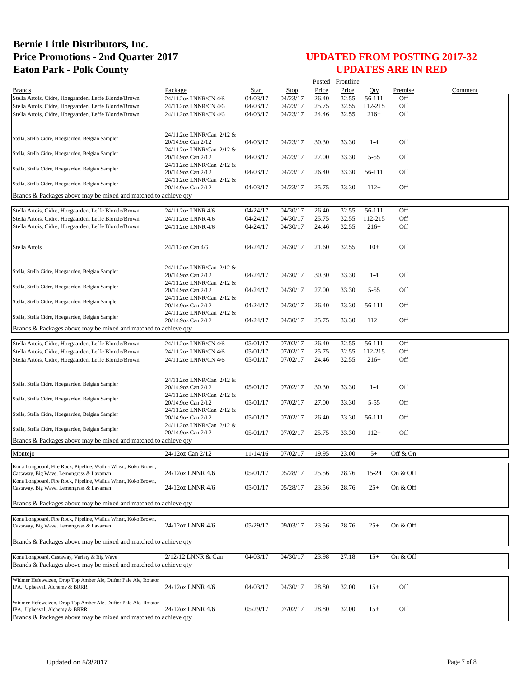|                                                                  |                                                 |          |          |       | Posted Frontline |          |          |         |
|------------------------------------------------------------------|-------------------------------------------------|----------|----------|-------|------------------|----------|----------|---------|
| <b>Brands</b>                                                    | Package                                         | Start    | Stop     | Price | Price            | Oty      | Premise  | Comment |
| Stella Artois, Cidre, Hoegaarden, Leffe Blonde/Brown             | 24/11.2oz LNNR/CN 4/6                           | 04/03/17 | 04/23/17 | 26.40 | 32.55            | 56-111   | Off      |         |
| Stella Artois, Cidre, Hoegaarden, Leffe Blonde/Brown             | 24/11.2oz LNNR/CN 4/6                           | 04/03/17 | 04/23/17 | 25.75 | 32.55            | 112-215  | Off      |         |
| Stella Artois, Cidre, Hoegaarden, Leffe Blonde/Brown             | 24/11.2oz LNNR/CN 4/6                           | 04/03/17 | 04/23/17 | 24.46 | 32.55            | $216+$   | Off      |         |
|                                                                  |                                                 |          |          |       |                  |          |          |         |
|                                                                  | 24/11.2oz LNNR/Can 2/12 &                       |          |          |       |                  |          |          |         |
| Stella, Stella Cidre, Hoegaarden, Belgian Sampler                | 20/14.9oz Can 2/12                              | 04/03/17 | 04/23/17 | 30.30 | 33.30            | $1 - 4$  | Off      |         |
| Stella, Stella Cidre, Hoegaarden, Belgian Sampler                | 24/11.2oz LNNR/Can 2/12 &                       |          |          |       |                  |          |          |         |
|                                                                  | 20/14.9oz Can 2/12                              | 04/03/17 | 04/23/17 | 27.00 | 33.30            | $5 - 55$ | Off      |         |
| Stella, Stella Cidre, Hoegaarden, Belgian Sampler                | 24/11.2oz LNNR/Can 2/12 &                       |          |          |       |                  |          |          |         |
|                                                                  | 20/14.9oz Can 2/12                              | 04/03/17 | 04/23/17 | 26.40 | 33.30            | 56-111   | Off      |         |
| Stella, Stella Cidre, Hoegaarden, Belgian Sampler                | 24/11.2oz LNNR/Can 2/12 &<br>20/14.9oz Can 2/12 | 04/03/17 | 04/23/17 | 25.75 | 33.30            | $112+$   | Off      |         |
| Brands & Packages above may be mixed and matched to achieve qty  |                                                 |          |          |       |                  |          |          |         |
|                                                                  |                                                 |          |          |       |                  |          |          |         |
| Stella Artois, Cidre, Hoegaarden, Leffe Blonde/Brown             | 24/11.2oz LNNR 4/6                              | 04/24/17 | 04/30/17 | 26.40 | 32.55            | 56-111   | Off      |         |
| Stella Artois, Cidre, Hoegaarden, Leffe Blonde/Brown             | 24/11.2oz LNNR 4/6                              | 04/24/17 | 04/30/17 | 25.75 | 32.55            | 112-215  | Off      |         |
| Stella Artois, Cidre, Hoegaarden, Leffe Blonde/Brown             | 24/11.2oz LNNR 4/6                              | 04/24/17 | 04/30/17 | 24.46 | 32.55            | $216+$   | Off      |         |
|                                                                  |                                                 |          |          |       |                  |          |          |         |
| Stella Artois                                                    | 24/11.2oz Can 4/6                               | 04/24/17 | 04/30/17 | 21.60 | 32.55            | $10+$    | Off      |         |
|                                                                  |                                                 |          |          |       |                  |          |          |         |
|                                                                  |                                                 |          |          |       |                  |          |          |         |
| Stella, Stella Cidre, Hoegaarden, Belgian Sampler                | 24/11.2oz LNNR/Can 2/12 &                       |          |          |       |                  |          |          |         |
|                                                                  | 20/14.9oz Can 2/12                              | 04/24/17 | 04/30/17 | 30.30 | 33.30            | $1-4$    | Off      |         |
| Stella, Stella Cidre, Hoegaarden, Belgian Sampler                | 24/11.2oz LNNR/Can 2/12 &<br>20/14.9oz Can 2/12 | 04/24/17 | 04/30/17 | 27.00 | 33.30            | $5 - 55$ | Off      |         |
|                                                                  | 24/11.2oz LNNR/Can 2/12 &                       |          |          |       |                  |          |          |         |
| Stella, Stella Cidre, Hoegaarden, Belgian Sampler                | 20/14.9oz Can 2/12                              | 04/24/17 | 04/30/17 | 26.40 | 33.30            | 56-111   | Off      |         |
|                                                                  | 24/11.2oz LNNR/Can 2/12 &                       |          |          |       |                  |          |          |         |
| Stella, Stella Cidre, Hoegaarden, Belgian Sampler                | 20/14.9oz Can 2/12                              | 04/24/17 | 04/30/17 | 25.75 | 33.30            | $112+$   | Off      |         |
| Brands & Packages above may be mixed and matched to achieve qty  |                                                 |          |          |       |                  |          |          |         |
|                                                                  |                                                 |          |          |       |                  |          |          |         |
| Stella Artois, Cidre, Hoegaarden, Leffe Blonde/Brown             | 24/11.2oz LNNR/CN 4/6                           | 05/01/17 | 07/02/17 | 26.40 | 32.55            | 56-111   | Off      |         |
| Stella Artois, Cidre, Hoegaarden, Leffe Blonde/Brown             | 24/11.2oz LNNR/CN 4/6                           | 05/01/17 | 07/02/17 | 25.75 | 32.55            | 112-215  | Off      |         |
| Stella Artois, Cidre, Hoegaarden, Leffe Blonde/Brown             | 24/11.2oz LNNR/CN 4/6                           | 05/01/17 | 07/02/17 | 24.46 | 32.55            | $216+$   | Off      |         |
|                                                                  |                                                 |          |          |       |                  |          |          |         |
|                                                                  | 24/11.2oz LNNR/Can 2/12 &                       |          |          |       |                  |          |          |         |
| Stella, Stella Cidre, Hoegaarden, Belgian Sampler                | 20/14.9oz Can 2/12                              | 05/01/17 | 07/02/17 | 30.30 | 33.30            | $1-4$    | Off      |         |
| Stella, Stella Cidre, Hoegaarden, Belgian Sampler                | 24/11.2oz LNNR/Can 2/12 &                       |          |          |       |                  |          |          |         |
|                                                                  | 20/14.9oz Can 2/12                              | 05/01/17 | 07/02/17 | 27.00 | 33.30            | $5 - 55$ | Off      |         |
| Stella, Stella Cidre, Hoegaarden, Belgian Sampler                | 24/11.2oz LNNR/Can 2/12 &<br>20/14.9oz Can 2/12 | 05/01/17 | 07/02/17 | 26.40 |                  | 56-111   | Off      |         |
|                                                                  | 24/11.2oz LNNR/Can 2/12 &                       |          |          |       | 33.30            |          |          |         |
| Stella, Stella Cidre, Hoegaarden, Belgian Sampler                | 20/14.9oz Can 2/12                              | 05/01/17 | 07/02/17 | 25.75 | 33.30            | $112+$   | Off      |         |
| Brands & Packages above may be mixed and matched to achieve qty  |                                                 |          |          |       |                  |          |          |         |
|                                                                  |                                                 |          |          |       |                  |          |          |         |
| Montejo                                                          | 24/12oz Can 2/12                                | 11/14/16 | 07/02/17 | 19.95 | 23.00            | $5+$     | Off & On |         |
| Kona Longboard, Fire Rock, Pipeline, Wailua Wheat, Koko Brown,   |                                                 |          |          |       |                  |          |          |         |
| Castaway, Big Wave, Lemongrass & Lavaman                         | 24/12oz LNNR 4/6                                | 05/01/17 | 05/28/17 | 25.56 | 28.76            | 15-24    | On & Off |         |
| Kona Longboard, Fire Rock, Pipeline, Wailua Wheat, Koko Brown,   |                                                 |          |          |       |                  |          |          |         |
| Castaway, Big Wave, Lemongrass & Lavaman                         | 24/12oz LNNR 4/6                                | 05/01/17 | 05/28/17 | 23.56 | 28.76            | $25+$    | On & Off |         |
| Brands & Packages above may be mixed and matched to achieve qty  |                                                 |          |          |       |                  |          |          |         |
|                                                                  |                                                 |          |          |       |                  |          |          |         |
| Kona Longboard, Fire Rock, Pipeline, Wailua Wheat, Koko Brown,   |                                                 |          |          |       |                  |          |          |         |
| Castaway, Big Wave, Lemongrass & Lavaman                         | 24/12oz LNNR 4/6                                | 05/29/17 | 09/03/17 | 23.56 | 28.76            | $25+$    | On & Off |         |
|                                                                  |                                                 |          |          |       |                  |          |          |         |
| Brands & Packages above may be mixed and matched to achieve qty  |                                                 |          |          |       |                  |          |          |         |
|                                                                  |                                                 |          |          |       |                  |          |          |         |
| Kona Longboard, Castaway, Variety & Big Wave                     | 2/12/12 LNNR & Can                              | 04/03/17 | 04/30/17 | 23.98 | 27.18            | $15+$    | On & Off |         |
| Brands & Packages above may be mixed and matched to achieve qty  |                                                 |          |          |       |                  |          |          |         |
| Widmer Hefeweizen, Drop Top Amber Ale, Drifter Pale Ale, Rotator |                                                 |          |          |       |                  |          |          |         |
| IPA, Upheaval, Alchemy & BRRR                                    | 24/12oz LNNR 4/6                                | 04/03/17 | 04/30/17 | 28.80 | 32.00            | $15+$    | Off      |         |
|                                                                  |                                                 |          |          |       |                  |          |          |         |
| Widmer Hefeweizen, Drop Top Amber Ale, Drifter Pale Ale, Rotator |                                                 |          |          |       |                  |          |          |         |
| IPA, Upheaval, Alchemy & BRRR                                    | 24/12oz LNNR 4/6                                | 05/29/17 | 07/02/17 | 28.80 | 32.00            | $15+$    | Off      |         |
| Brands & Packages above may be mixed and matched to achieve qty  |                                                 |          |          |       |                  |          |          |         |